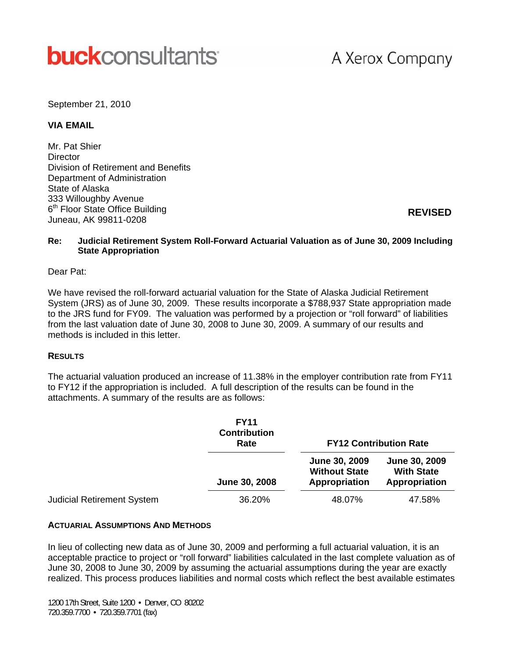# **buck**consultants

## A Xerox Company

September 21, 2010

#### **VIA EMAIL**

Mr. Pat Shier **Director** Division of Retirement and Benefits Department of Administration State of Alaska 333 Willoughby Avenue 6<sup>th</sup> Floor State Office Building Juneau, AK 99811-0208

**REVISED**

#### **Re: Judicial Retirement System Roll-Forward Actuarial Valuation as of June 30, 2009 Including State Appropriation**

#### Dear Pat:

We have revised the roll-forward actuarial valuation for the State of Alaska Judicial Retirement System (JRS) as of June 30, 2009. These results incorporate a \$788,937 State appropriation made to the JRS fund for FY09. The valuation was performed by a projection or "roll forward" of liabilities from the last valuation date of June 30, 2008 to June 30, 2009. A summary of our results and methods is included in this letter.

#### **RESULTS**

The actuarial valuation produced an increase of 11.38% in the employer contribution rate from FY11 to FY12 if the appropriation is included. A full description of the results can be found in the attachments. A summary of the results are as follows:

|                                   | <b>FY11</b><br><b>Contribution</b><br>Rate | <b>FY12 Contribution Rate</b>                          |                                                     |  |  |  |
|-----------------------------------|--------------------------------------------|--------------------------------------------------------|-----------------------------------------------------|--|--|--|
|                                   | June 30, 2008                              | June 30, 2009<br><b>Without State</b><br>Appropriation | June 30, 2009<br><b>With State</b><br>Appropriation |  |  |  |
| <b>Judicial Retirement System</b> | 36.20%                                     | 48.07%                                                 | 47.58%                                              |  |  |  |

#### **ACTUARIAL ASSUMPTIONS AND METHODS**

In lieu of collecting new data as of June 30, 2009 and performing a full actuarial valuation, it is an acceptable practice to project or "roll forward" liabilities calculated in the last complete valuation as of June 30, 2008 to June 30, 2009 by assuming the actuarial assumptions during the year are exactly realized. This process produces liabilities and normal costs which reflect the best available estimates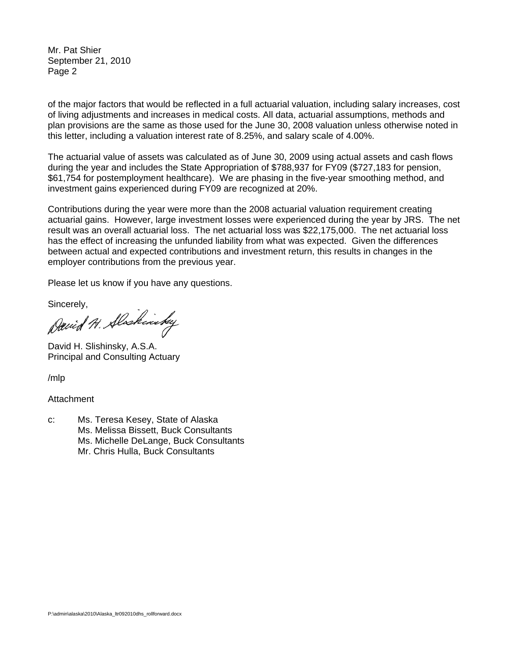Mr. Pat Shier September 21, 2010 Page 2

of the major factors that would be reflected in a full actuarial valuation, including salary increases, cost of living adjustments and increases in medical costs. All data, actuarial assumptions, methods and plan provisions are the same as those used for the June 30, 2008 valuation unless otherwise noted in this letter, including a valuation interest rate of 8.25%, and salary scale of 4.00%.

The actuarial value of assets was calculated as of June 30, 2009 using actual assets and cash flows during the year and includes the State Appropriation of \$788,937 for FY09 (\$727,183 for pension, \$61,754 for postemployment healthcare). We are phasing in the five-year smoothing method, and investment gains experienced during FY09 are recognized at 20%.

Contributions during the year were more than the 2008 actuarial valuation requirement creating actuarial gains. However, large investment losses were experienced during the year by JRS. The net result was an overall actuarial loss. The net actuarial loss was \$22,175,000. The net actuarial loss has the effect of increasing the unfunded liability from what was expected. Given the differences between actual and expected contributions and investment return, this results in changes in the employer contributions from the previous year.

Please let us know if you have any questions.

Sincerely,

David H. Alaskinsky

David H. Slishinsky, A.S.A. Principal and Consulting Actuary

/mlp

#### **Attachment**

c: Ms. Teresa Kesey, State of Alaska Ms. Melissa Bissett, Buck Consultants Ms. Michelle DeLange, Buck Consultants Mr. Chris Hulla, Buck Consultants